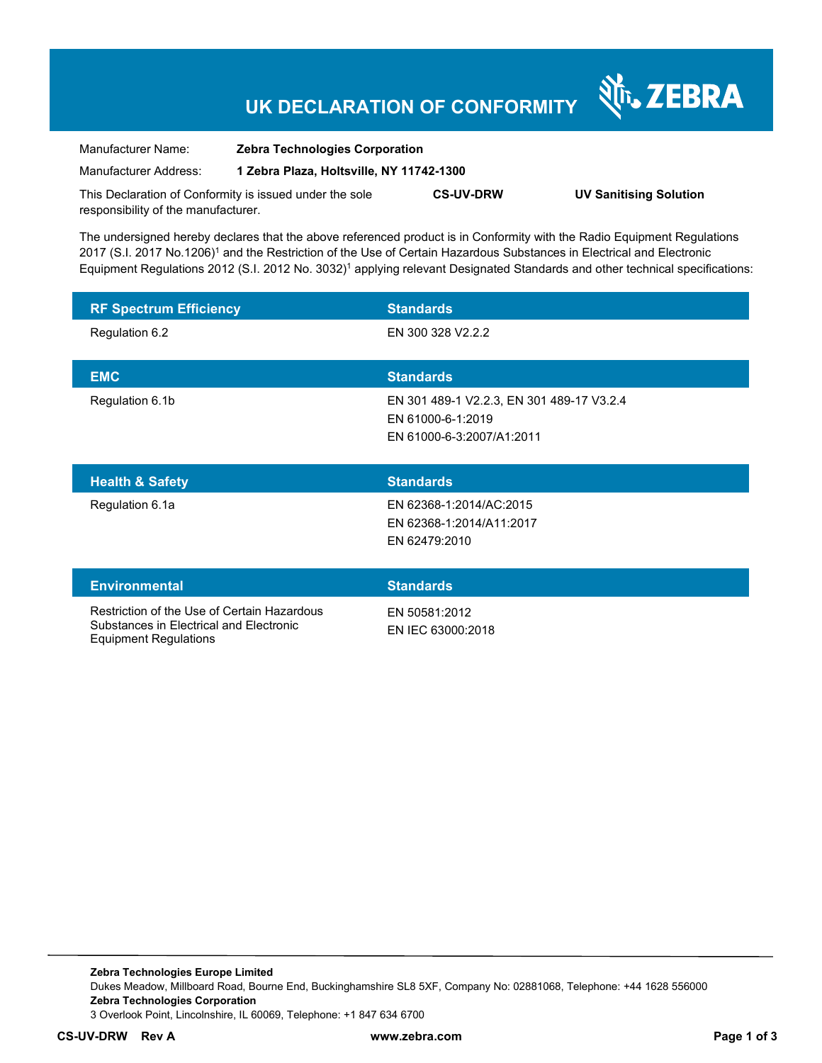## **UK DECLARATION OF CONFORMITY**

Nr. ZEBRA

| Manufacturer Name:                                      | <b>Zebra Technologies Corporation</b>    |                  |                               |
|---------------------------------------------------------|------------------------------------------|------------------|-------------------------------|
| Manufacturer Address:                                   | 1 Zebra Plaza, Holtsville, NY 11742-1300 |                  |                               |
| This Declaration of Conformity is issued under the sole |                                          | <b>CS-UV-DRW</b> | <b>UV Sanitising Solution</b> |

The undersigned hereby declares that the above referenced product is in Conformity with the Radio Equipment Regulations 2017 (S.I. 2017 No.1206)<sup>1</sup> and the Restriction of the Use of Certain Hazardous Substances in Electrical and Electronic Equipment Regulations 2012 (S.I. 2012 No. 3032)<sup>1</sup> applying relevant Designated Standards and other technical specifications:

| <b>RF Spectrum Efficiency</b> | <b>Standards</b>                                                                            |
|-------------------------------|---------------------------------------------------------------------------------------------|
| Regulation 6.2                | EN 300 328 V2.2.2                                                                           |
| <b>EMC</b>                    | <b>Standards</b>                                                                            |
| Regulation 6.1b               | EN 301 489-1 V2.2.3, EN 301 489-17 V3.2.4<br>EN 61000-6-1:2019<br>EN 61000-6-3:2007/A1:2011 |
|                               |                                                                                             |
| <b>Health &amp; Safety</b>    | <b>Standards</b>                                                                            |
| Regulation 6.1a               | EN 62368-1:2014/AC:2015<br>EN 62368-1:2014/A11:2017<br>EN 62479:2010                        |
| <b>Environmental</b>          | <b>Standards</b>                                                                            |

**Zebra Technologies Europe Limited**  Dukes Meadow, Millboard Road, Bourne End, Buckinghamshire SL8 5XF, Company No: 02881068, Telephone: +44 1628 556000 **Zebra Technologies Corporation**  3 Overlook Point, Lincolnshire, IL 60069, Telephone: +1 847 634 6700

responsibility of the manufacturer.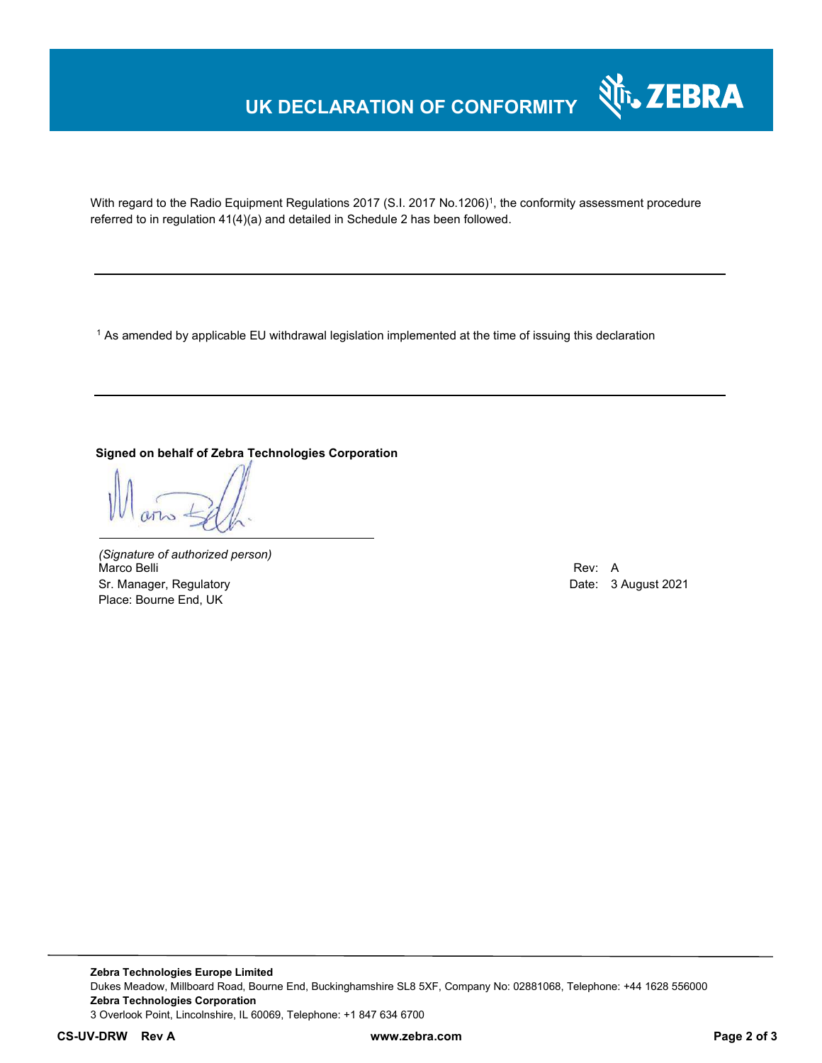## **UK DECLARATION OF CONFORMITY**



With regard to the Radio Equipment Regulations 2017 (S.I. 2017 No.1206)<sup>1</sup>, the conformity assessment procedure referred to in regulation 41(4)(a) and detailed in Schedule 2 has been followed.

1 As amended by applicable EU withdrawal legislation implemented at the time of issuing this declaration

### **Signed on behalf of Zebra Technologies Corporation**

*(Signature of authorized person)* Marco Belli Rev: A Sr. Manager, Regulatory **Date: 3 August 2021** Controller and Date: 3 August 2021 Place: Bourne End, UK

**Zebra Technologies Europe Limited**  Dukes Meadow, Millboard Road, Bourne End, Buckinghamshire SL8 5XF, Company No: 02881068, Telephone: +44 1628 556000 **Zebra Technologies Corporation**  3 Overlook Point, Lincolnshire, IL 60069, Telephone: +1 847 634 6700